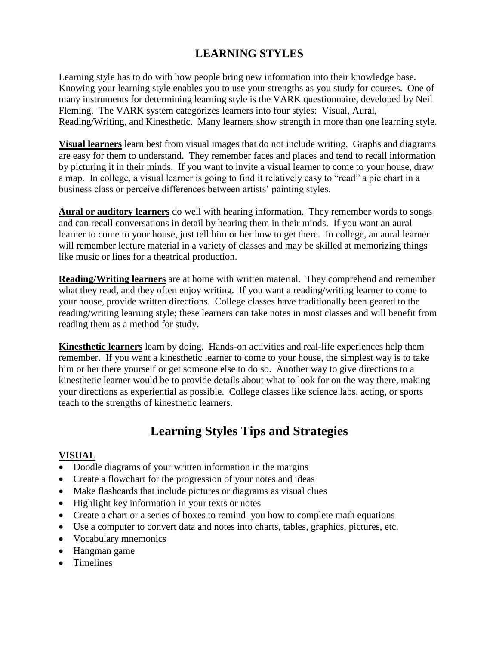## **LEARNING STYLES**

Learning style has to do with how people bring new information into their knowledge base. Knowing your learning style enables you to use your strengths as you study for courses. One of many instruments for determining learning style is the VARK questionnaire, developed by Neil Fleming. The VARK system categorizes learners into four styles: Visual, Aural, Reading/Writing, and Kinesthetic. Many learners show strength in more than one learning style.

**Visual learners** learn best from visual images that do not include writing. Graphs and diagrams are easy for them to understand. They remember faces and places and tend to recall information by picturing it in their minds. If you want to invite a visual learner to come to your house, draw a map. In college, a visual learner is going to find it relatively easy to "read" a pie chart in a business class or perceive differences between artists' painting styles.

**Aural or auditory learners** do well with hearing information. They remember words to songs and can recall conversations in detail by hearing them in their minds. If you want an aural learner to come to your house, just tell him or her how to get there. In college, an aural learner will remember lecture material in a variety of classes and may be skilled at memorizing things like music or lines for a theatrical production.

**Reading/Writing learners** are at home with written material. They comprehend and remember what they read, and they often enjoy writing. If you want a reading/writing learner to come to your house, provide written directions. College classes have traditionally been geared to the reading/writing learning style; these learners can take notes in most classes and will benefit from reading them as a method for study.

**Kinesthetic learners** learn by doing. Hands-on activities and real-life experiences help them remember. If you want a kinesthetic learner to come to your house, the simplest way is to take him or her there yourself or get someone else to do so. Another way to give directions to a kinesthetic learner would be to provide details about what to look for on the way there, making your directions as experiential as possible. College classes like science labs, acting, or sports teach to the strengths of kinesthetic learners.

# **Learning Styles Tips and Strategies**

#### **VISUAL**

- Doodle diagrams of your written information in the margins
- Create a flowchart for the progression of your notes and ideas
- Make flashcards that include pictures or diagrams as visual clues
- Highlight key information in your texts or notes
- Create a chart or a series of boxes to remind you how to complete math equations
- Use a computer to convert data and notes into charts, tables, graphics, pictures, etc.
- Vocabulary mnemonics
- Hangman game
- Timelines